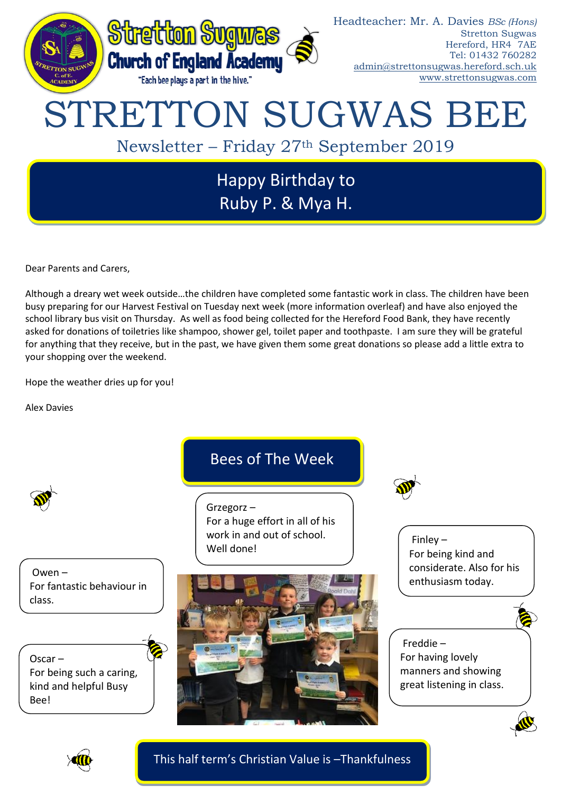

Dear Parents and Carers,

Although a dreary wet week outside…the children have completed some fantastic work in class. The children have been busy preparing for our Harvest Festival on Tuesday next week (more information overleaf) and have also enjoyed the school library bus visit on Thursday. As well as food being collected for the Hereford Food Bank, they have recently asked for donations of toiletries like shampoo, shower gel, toilet paper and toothpaste. I am sure they will be grateful for anything that they receive, but in the past, we have given them some great donations so please add a little extra to your shopping over the weekend.

Hope the weather dries up for you!

Alex Davies



Owen – For fantastic behaviour in class.

Oscar – For being such a caring, kind and helpful Busy Bee!

# Bees of The Week

Grzegorz – For a huge effort in all of his work in and out of school. Well done!





Finley – For being kind and considerate. Also for his enthusiasm today.

## Freddie – For having lovely manners and showing great listening in class.



This half term's Christian Value is –Thankfulness